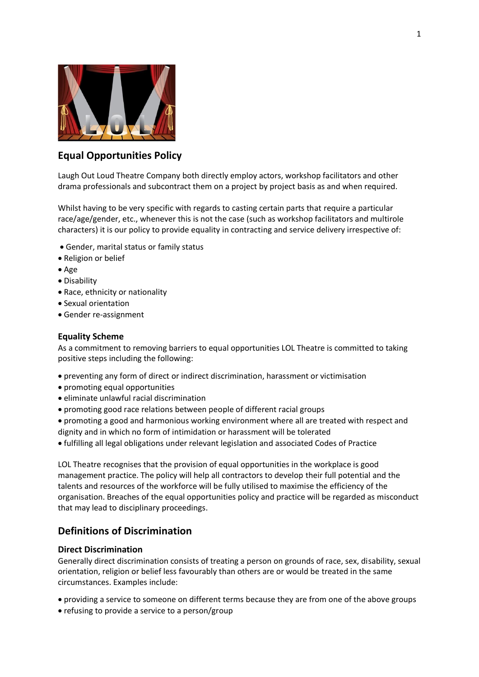

# **Equal Opportunities Policy**

Laugh Out Loud Theatre Company both directly employ actors, workshop facilitators and other drama professionals and subcontract them on a project by project basis as and when required.

Whilst having to be very specific with regards to casting certain parts that require a particular race/age/gender, etc., whenever this is not the case (such as workshop facilitators and multirole characters) it is our policy to provide equality in contracting and service delivery irrespective of:

- Gender, marital status or family status
- Religion or belief
- Age
- Disability
- Race, ethnicity or nationality
- Sexual orientation
- Gender re-assignment

### **Equality Scheme**

As a commitment to removing barriers to equal opportunities LOL Theatre is committed to taking positive steps including the following:

- preventing any form of direct or indirect discrimination, harassment or victimisation
- promoting equal opportunities
- eliminate unlawful racial discrimination
- promoting good race relations between people of different racial groups
- promoting a good and harmonious working environment where all are treated with respect and dignity and in which no form of intimidation or harassment will be tolerated
- fulfilling all legal obligations under relevant legislation and associated Codes of Practice

LOL Theatre recognises that the provision of equal opportunities in the workplace is good management practice. The policy will help all contractors to develop their full potential and the talents and resources of the workforce will be fully utilised to maximise the efficiency of the organisation. Breaches of the equal opportunities policy and practice will be regarded as misconduct that may lead to disciplinary proceedings.

# **Definitions of Discrimination**

## **Direct Discrimination**

Generally direct discrimination consists of treating a person on grounds of race, sex, disability, sexual orientation, religion or belief less favourably than others are or would be treated in the same circumstances. Examples include:

- providing a service to someone on different terms because they are from one of the above groups
- refusing to provide a service to a person/group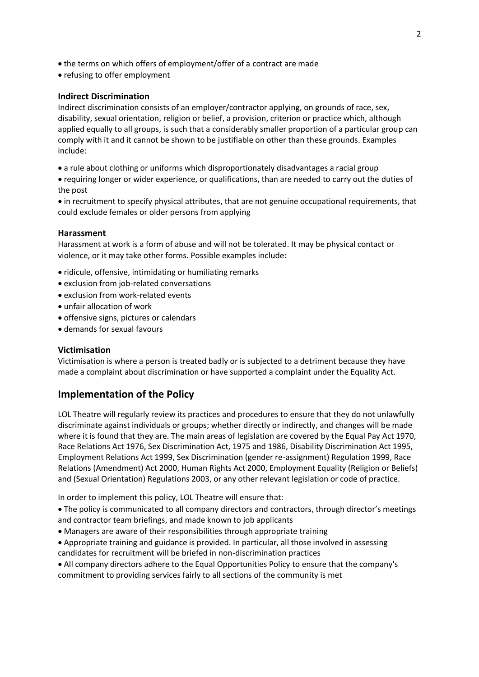- the terms on which offers of employment/offer of a contract are made
- refusing to offer employment

## **Indirect Discrimination**

Indirect discrimination consists of an employer/contractor applying, on grounds of race, sex, disability, sexual orientation, religion or belief, a provision, criterion or practice which, although applied equally to all groups, is such that a considerably smaller proportion of a particular group can comply with it and it cannot be shown to be justifiable on other than these grounds. Examples include:

- a rule about clothing or uniforms which disproportionately disadvantages a racial group
- requiring longer or wider experience, or qualifications, than are needed to carry out the duties of the post

 in recruitment to specify physical attributes, that are not genuine occupational requirements, that could exclude females or older persons from applying

## **Harassment**

Harassment at work is a form of abuse and will not be tolerated. It may be physical contact or violence, or it may take other forms. Possible examples include:

- ridicule, offensive, intimidating or humiliating remarks
- exclusion from job-related conversations
- exclusion from work-related events
- unfair allocation of work
- offensive signs, pictures or calendars
- demands for sexual favours

## **Victimisation**

Victimisation is where a person is treated badly or is subjected to a detriment because they have made a complaint about discrimination or have supported a complaint under the Equality Act.

## **Implementation of the Policy**

LOL Theatre will regularly review its practices and procedures to ensure that they do not unlawfully discriminate against individuals or groups; whether directly or indirectly, and changes will be made where it is found that they are. The main areas of legislation are covered by the Equal Pay Act 1970, Race Relations Act 1976, Sex Discrimination Act, 1975 and 1986, Disability Discrimination Act 1995, Employment Relations Act 1999, Sex Discrimination (gender re-assignment) Regulation 1999, Race Relations (Amendment) Act 2000, Human Rights Act 2000, Employment Equality (Religion or Beliefs) and (Sexual Orientation) Regulations 2003, or any other relevant legislation or code of practice.

In order to implement this policy, LOL Theatre will ensure that:

 The policy is communicated to all company directors and contractors, through director's meetings and contractor team briefings, and made known to job applicants

- Managers are aware of their responsibilities through appropriate training
- Appropriate training and guidance is provided. In particular, all those involved in assessing candidates for recruitment will be briefed in non-discrimination practices

 All company directors adhere to the Equal Opportunities Policy to ensure that the company's commitment to providing services fairly to all sections of the community is met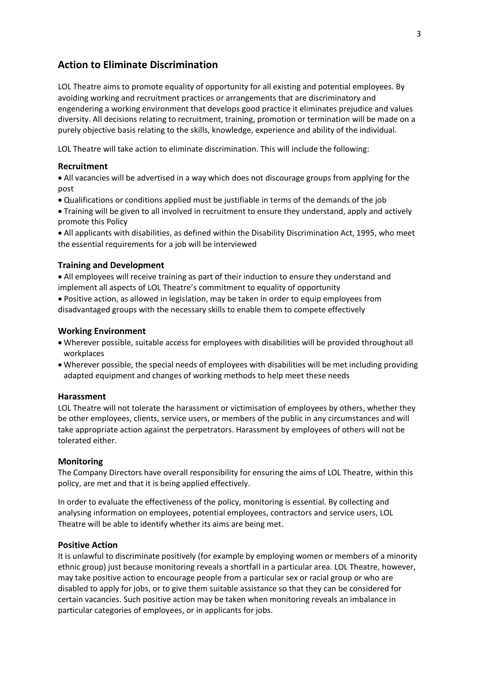# **Action to Eliminate Discrimination**

LOL Theatre aims to promote equality of opportunity for all existing and potential employees. By avoiding working and recruitment practices or arrangements that are discriminatory and engendering a working environment that develops good practice it eliminates prejudice and values diversity. All decisions relating to recruitment, training, promotion or termination will be made on a purely objective basis relating to the skills, knowledge, experience and ability of the individual.

LOL Theatre will take action to eliminate discrimination. This will include the following:

### **Recruitment**

 All vacancies will be advertised in a way which does not discourage groups from applying for the post

- Qualifications or conditions applied must be justifiable in terms of the demands of the job
- Training will be given to all involved in recruitment to ensure they understand, apply and actively promote this Policy

 All applicants with disabilities, as defined within the Disability Discrimination Act, 1995, who meet the essential requirements for a job will be interviewed

### **Training and Development**

 All employees will receive training as part of their induction to ensure they understand and implement all aspects of LOL Theatre's commitment to equality of opportunity

 Positive action, as allowed in legislation, may be taken in order to equip employees from disadvantaged groups with the necessary skills to enable them to compete effectively

### **Working Environment**

- Wherever possible, suitable access for employees with disabilities will be provided throughout all workplaces
- Wherever possible, the special needs of employees with disabilities will be met including providing adapted equipment and changes of working methods to help meet these needs

#### **Harassment**

LOL Theatre will not tolerate the harassment or victimisation of employees by others, whether they be other employees, clients, service users, or members of the public in any circumstances and will take appropriate action against the perpetrators. Harassment by employees of others will not be tolerated either.

#### **Monitoring**

The Company Directors have overall responsibility for ensuring the aims of LOL Theatre, within this policy, are met and that it is being applied effectively.

In order to evaluate the effectiveness of the policy, monitoring is essential. By collecting and analysing information on employees, potential employees, contractors and service users, LOL Theatre will be able to identify whether its aims are being met.

## **Positive Action**

It is unlawful to discriminate positively (for example by employing women or members of a minority ethnic group) just because monitoring reveals a shortfall in a particular area. LOL Theatre, however, may take positive action to encourage people from a particular sex or racial group or who are disabled to apply for jobs, or to give them suitable assistance so that they can be considered for certain vacancies. Such positive action may be taken when monitoring reveals an imbalance in particular categories of employees, or in applicants for jobs.